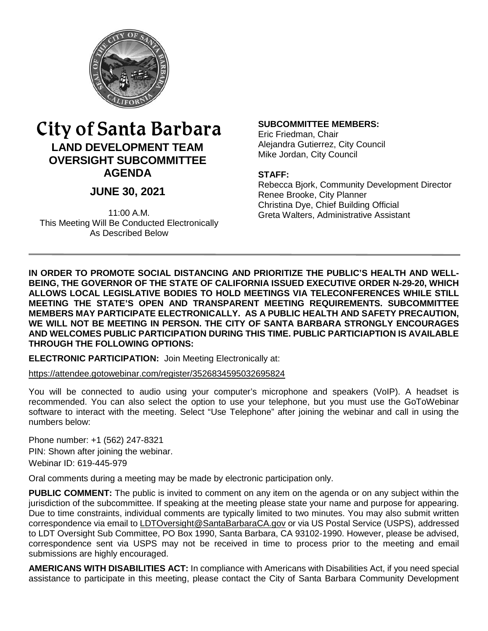

# City of Santa Barbara **LAND DEVELOPMENT TEAM OVERSIGHT SUBCOMMITTEE AGENDA**

# **JUNE 30, 2021**

11:00 A.M. This Meeting Will Be Conducted Electronically As Described Below

#### **SUBCOMMITTEE MEMBERS:**

Eric Friedman, Chair Alejandra Gutierrez, City Council Mike Jordan, City Council

#### **STAFF:**

Rebecca Bjork, Community Development Director Renee Brooke, City Planner Christina Dye, Chief Building Official Greta Walters, Administrative Assistant

**IN ORDER TO PROMOTE SOCIAL DISTANCING AND PRIORITIZE THE PUBLIC'S HEALTH AND WELL-BEING, THE GOVERNOR OF THE STATE OF CALIFORNIA ISSUED EXECUTIVE ORDER N-29-20, WHICH ALLOWS LOCAL LEGISLATIVE BODIES TO HOLD MEETINGS VIA TELECONFERENCES WHILE STILL MEETING THE STATE'S OPEN AND TRANSPARENT MEETING REQUIREMENTS. SUBCOMMITTEE MEMBERS MAY PARTICIPATE ELECTRONICALLY. AS A PUBLIC HEALTH AND SAFETY PRECAUTION, WE WILL NOT BE MEETING IN PERSON. THE CITY OF SANTA BARBARA STRONGLY ENCOURAGES AND WELCOMES PUBLIC PARTICIPATION DURING THIS TIME. PUBLIC PARTICIAPTION IS AVAILABLE THROUGH THE FOLLOWING OPTIONS:** 

**ELECTRONIC PARTICIPATION:** Join Meeting Electronically at:

<https://attendee.gotowebinar.com/register/3526834595032695824>

You will be connected to audio using your computer's microphone and speakers (VoIP). A headset is recommended. You can also select the option to use your telephone, but you must use the GoToWebinar software to interact with the meeting. Select "Use Telephone" after joining the webinar and call in using the numbers below:

Phone number: +1 (562) 247-8321 PIN: Shown after joining the webinar. Webinar ID: 619-445-979

Oral comments during a meeting may be made by electronic participation only.

**PUBLIC COMMENT:** The public is invited to comment on any item on the agenda or on any subject within the jurisdiction of the subcommittee. If speaking at the meeting please state your name and purpose for appearing. Due to time constraints, individual comments are typically limited to two minutes. You may also submit written correspondence via email to [LDTOversight@SantaBarbaraCA.gov](mailto:LDTOversight@SantaBarbaraCA.gov) or via US Postal Service (USPS), addressed to LDT Oversight Sub Committee, PO Box 1990, Santa Barbara, CA 93102-1990. However, please be advised, correspondence sent via USPS may not be received in time to process prior to the meeting and email submissions are highly encouraged.

**AMERICANS WITH DISABILITIES ACT:** In compliance with Americans with Disabilities Act, if you need special assistance to participate in this meeting, please contact the City of Santa Barbara Community Development